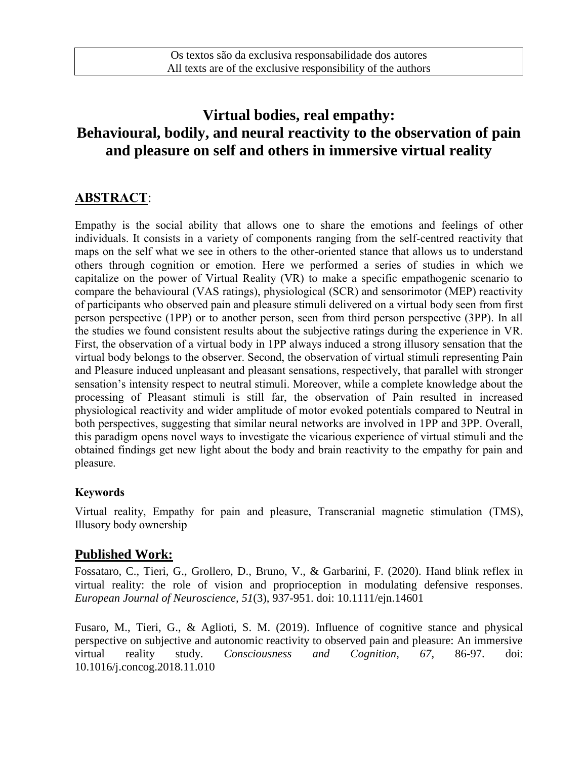# **Virtual bodies, real empathy: Behavioural, bodily, and neural reactivity to the observation of pain and pleasure on self and others in immersive virtual reality**

# **ABSTRACT**:

Empathy is the social ability that allows one to share the emotions and feelings of other individuals. It consists in a variety of components ranging from the self-centred reactivity that maps on the self what we see in others to the other-oriented stance that allows us to understand others through cognition or emotion. Here we performed a series of studies in which we capitalize on the power of Virtual Reality (VR) to make a specific empathogenic scenario to compare the behavioural (VAS ratings), physiological (SCR) and sensorimotor (MEP) reactivity of participants who observed pain and pleasure stimuli delivered on a virtual body seen from first person perspective (1PP) or to another person, seen from third person perspective (3PP). In all the studies we found consistent results about the subjective ratings during the experience in VR. First, the observation of a virtual body in 1PP always induced a strong illusory sensation that the virtual body belongs to the observer. Second, the observation of virtual stimuli representing Pain and Pleasure induced unpleasant and pleasant sensations, respectively, that parallel with stronger sensation's intensity respect to neutral stimuli. Moreover, while a complete knowledge about the processing of Pleasant stimuli is still far, the observation of Pain resulted in increased physiological reactivity and wider amplitude of motor evoked potentials compared to Neutral in both perspectives, suggesting that similar neural networks are involved in 1PP and 3PP. Overall, this paradigm opens novel ways to investigate the vicarious experience of virtual stimuli and the obtained findings get new light about the body and brain reactivity to the empathy for pain and pleasure.

#### **Keywords**

Virtual reality, Empathy for pain and pleasure, Transcranial magnetic stimulation (TMS), Illusory body ownership

### **Published Work:**

Fossataro, C., Tieri, G., Grollero, D., Bruno, V., & Garbarini, F. (2020). Hand blink reflex in virtual reality: the role of vision and proprioception in modulating defensive responses. *European Journal of Neuroscience, 51*(3), 937-951. doi: 10.1111/ejn.14601

Fusaro, M., Tieri, G., & Aglioti, S. M. (2019). Influence of cognitive stance and physical perspective on subjective and autonomic reactivity to observed pain and pleasure: An immersive virtual reality study. *Consciousness and Cognition, 67*, 86-97. doi: 10.1016/j.concog.2018.11.010